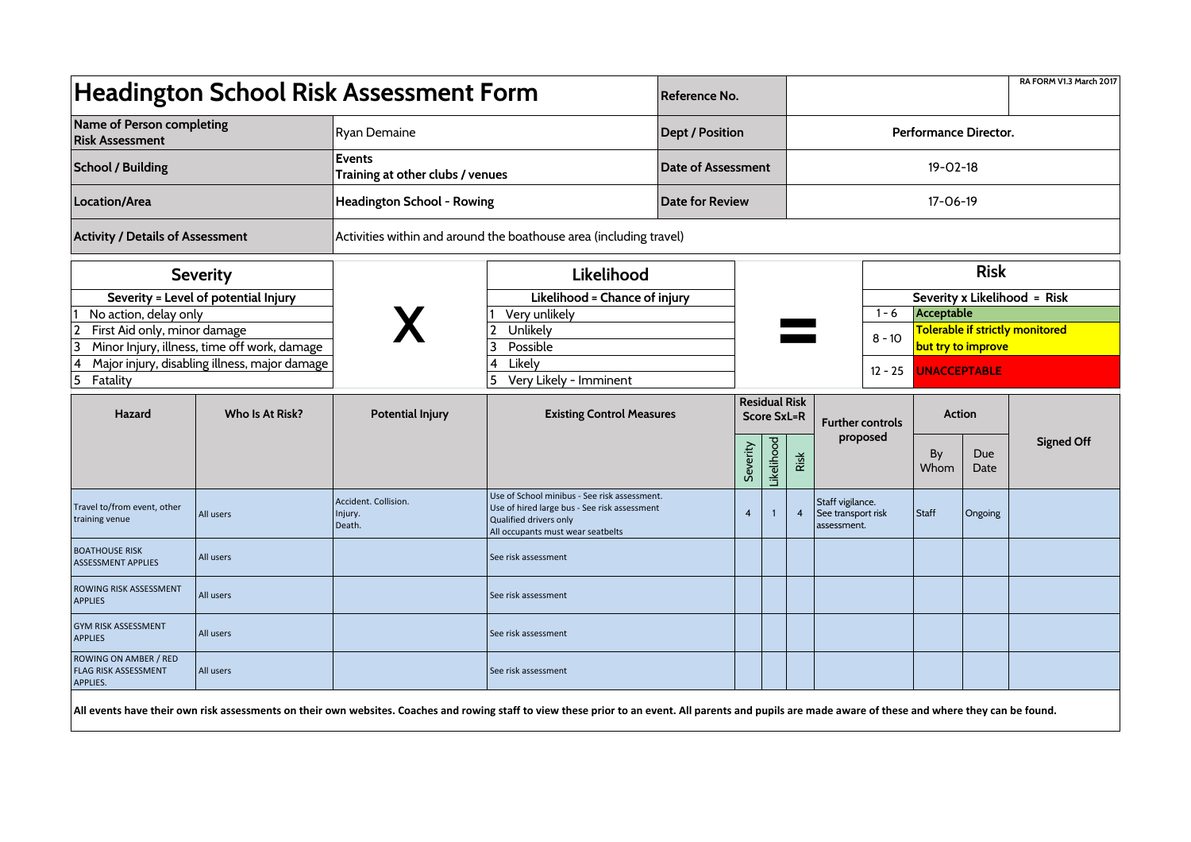| <b>Headington School Risk Assessment Form</b>                           |                 |                                                                    |                                                                                                                                                                                                         |                        | Reference No.  |                                            |                       |                                                       |                         |                                                      |                    | RA FORM V1.3 March 2017 |  |  |
|-------------------------------------------------------------------------|-----------------|--------------------------------------------------------------------|---------------------------------------------------------------------------------------------------------------------------------------------------------------------------------------------------------|------------------------|----------------|--------------------------------------------|-----------------------|-------------------------------------------------------|-------------------------|------------------------------------------------------|--------------------|-------------------------|--|--|
| Name of Person completing<br><b>Risk Assessment</b>                     |                 | Ryan Demaine                                                       |                                                                                                                                                                                                         | <b>Dept / Position</b> |                |                                            | Performance Director. |                                                       |                         |                                                      |                    |                         |  |  |
| <b>School / Building</b>                                                |                 | <b>Events</b><br>Training at other clubs / venues                  |                                                                                                                                                                                                         | Date of Assessment     | $19 - 02 - 18$ |                                            |                       |                                                       |                         |                                                      |                    |                         |  |  |
| Location/Area                                                           |                 | Headington School - Rowing                                         |                                                                                                                                                                                                         | Date for Review        |                |                                            |                       | $17 - 06 - 19$                                        |                         |                                                      |                    |                         |  |  |
| <b>Activity / Details of Assessment</b>                                 |                 | Activities within and around the boathouse area (including travel) |                                                                                                                                                                                                         |                        |                |                                            |                       |                                                       |                         |                                                      |                    |                         |  |  |
| <b>Severity</b>                                                         |                 |                                                                    | Likelihood                                                                                                                                                                                              |                        |                |                                            |                       |                                                       | <b>Risk</b>             |                                                      |                    |                         |  |  |
| Severity = Level of potential Injury                                    |                 |                                                                    | Likelihood = Chance of injury                                                                                                                                                                           |                        |                |                                            |                       |                                                       |                         | Severity x Likelihood = Risk                         |                    |                         |  |  |
| No action, delay only<br>$\overline{2}$<br>First Aid only, minor damage |                 |                                                                    | Very unlikely<br>Unlikely                                                                                                                                                                               |                        |                |                                            |                       |                                                       | $1 - 6$                 | Acceptable<br><b>Tolerable if strictly monitored</b> |                    |                         |  |  |
| 3<br>Minor Injury, illness, time off work, damage                       |                 |                                                                    | Possible<br>3                                                                                                                                                                                           |                        |                |                                            |                       |                                                       | $8 - 10$                | but try to improve                                   |                    |                         |  |  |
| Major injury, disabling illness, major damage<br>4<br>5<br>Fatality     |                 |                                                                    | Likely<br>Very Likely - Imminent                                                                                                                                                                        |                        |                |                                            |                       | $12 - 25$                                             | <b>UNACCEPTABLE</b>     |                                                      |                    |                         |  |  |
| Hazard                                                                  | Who Is At Risk? | <b>Potential Injury</b>                                            | <b>Existing Control Measures</b>                                                                                                                                                                        |                        |                | <b>Residual Risk</b><br><b>Score SxL=R</b> |                       |                                                       | <b>Further controls</b> | Action                                               |                    |                         |  |  |
|                                                                         |                 |                                                                    |                                                                                                                                                                                                         | Severity               |                |                                            | Risk                  |                                                       | proposed<br>By<br>Whom  |                                                      | <b>Due</b><br>Date | <b>Signed Off</b>       |  |  |
| Travel to/from event, other<br>training venue                           | All users       | Accident. Collision.<br>Injury.<br>Death.                          | Use of School minibus - See risk assessment.<br>Use of hired large bus - See risk assessment<br>Qualified drivers only<br>All occupants must wear seatbelts                                             |                        | $\overline{4}$ | Likelihood<br>$\mathbf{1}$                 | $\overline{4}$        | Staff vigilance.<br>See transport risk<br>assessment. |                         | Staff                                                | Ongoing            |                         |  |  |
| <b>BOATHOUSE RISK</b><br><b>ASSESSMENT APPLIES</b>                      | All users       |                                                                    | See risk assessment                                                                                                                                                                                     |                        |                |                                            |                       |                                                       |                         |                                                      |                    |                         |  |  |
| <b>ROWING RISK ASSESSMENT</b><br><b>APPLIES</b>                         | All users       |                                                                    | See risk assessment                                                                                                                                                                                     |                        |                |                                            |                       |                                                       |                         |                                                      |                    |                         |  |  |
| <b>GYM RISK ASSESSMENT</b><br><b>APPLIES</b>                            | All users       |                                                                    | See risk assessment                                                                                                                                                                                     |                        |                |                                            |                       |                                                       |                         |                                                      |                    |                         |  |  |
| <b>ROWING ON AMBER / RED</b><br><b>FLAG RISK ASSESSMENT</b><br>APPLIES. | All users       |                                                                    | See risk assessment                                                                                                                                                                                     |                        |                |                                            |                       |                                                       |                         |                                                      |                    |                         |  |  |
|                                                                         |                 |                                                                    | All events have their own risk assessments on their own websites. Coaches and rowing staff to view these prior to an event. All parents and pupils are made aware of these and where they can be found. |                        |                |                                            |                       |                                                       |                         |                                                      |                    |                         |  |  |